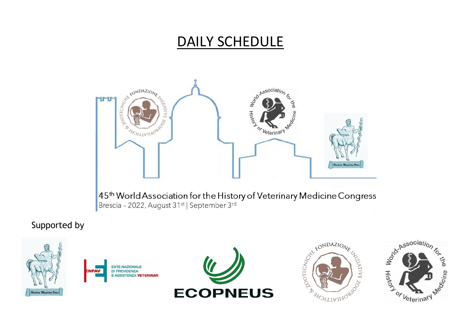## DAILY SCHEDULE



## Supported by

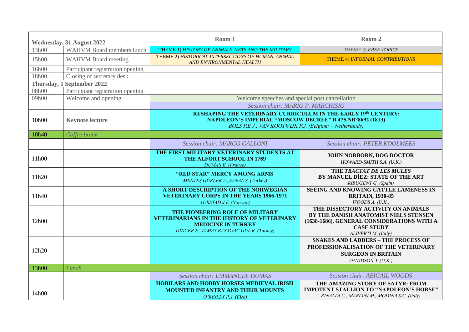| <b>Wednesday, 31 August 2022</b> |                                   | Room 1                                                                                                                                                                                      | Room 2                                                                                                                                                                |
|----------------------------------|-----------------------------------|---------------------------------------------------------------------------------------------------------------------------------------------------------------------------------------------|-----------------------------------------------------------------------------------------------------------------------------------------------------------------------|
| 13h00                            | <b>WAHVM Board members lunch</b>  | THEME 1) HISTORY OF ANIMALS, VETS AND THE MILITARY                                                                                                                                          | THEME 3) FREE TOPICS                                                                                                                                                  |
| 15h00                            | <b>WAHVM</b> Board meeting        | THEME 2) HISTORICAL INTERSECTIONS OF HUMAN, ANIMAL<br>AND ENVIRONMENTAL HEALTH                                                                                                              | THEME 4) INFORMAL CONTRIBUTIONS                                                                                                                                       |
| 16h00                            | Participant registration opening  |                                                                                                                                                                                             |                                                                                                                                                                       |
| 18h00                            | Closing of secretary desk         |                                                                                                                                                                                             |                                                                                                                                                                       |
|                                  | <b>Thursday, 1 September 2022</b> |                                                                                                                                                                                             |                                                                                                                                                                       |
| 08h00                            | Participant registration opening  |                                                                                                                                                                                             |                                                                                                                                                                       |
| 09h00                            | Welcome and opening               | Welcome speeches and special post cancellation                                                                                                                                              |                                                                                                                                                                       |
|                                  |                                   | Session chair: MARIO P. MARCHISIO                                                                                                                                                           |                                                                                                                                                                       |
| 10h00                            | <b>Keynote lecture</b>            | <b>RESHAPING THE VETERINARY CURRICULUM IN THE EARLY 19th CENTURY:</b><br>NAPOLEON'S IMPERIAL "MOSCOW DECREE" B.475.NR°8692 (1813)<br>BOLS P.E.J., VAN KOOTWIJK F.J. (Belgium – Netherlands) |                                                                                                                                                                       |
| 10h40                            | Coffee break                      |                                                                                                                                                                                             |                                                                                                                                                                       |
|                                  |                                   | Session chair: MARCO GALLONI                                                                                                                                                                | <b>Session chair: PETER KOOLMEES</b>                                                                                                                                  |
| 11h00                            |                                   | THE FIRST MILITARY VETERINARY STUDENTS AT<br>THE ALFORT SCHOOL IN 1769<br><b>DUMAS E.</b> (France)                                                                                          | JOHN NORBORN, DOG DOCTOR<br>HOWARD-SMITH S.A. (U.K.)                                                                                                                  |
| 11h20                            |                                   | "RED STAR" MERCY AMONG ARMS<br>MENTES GÜRLER A., SANAL S. (Turkey)                                                                                                                          | THE TRACTAT DE LES MULES<br>BY MANUEL DÍEZ: STATE OF THE ART<br>RIBUGENT G. (Spain)                                                                                   |
| 11h40                            |                                   | A SHORT DESCRIPTION OF THE NORWEGIAN<br><b>VETERINARY CORPS IN THE YEARS 1966-1971</b><br><b>AURSTAD J.F. (Norway)</b>                                                                      | SEEING AND KNOWING CATTLE LAMENESS IN<br><b>BRITAIN, 1930-85</b><br>WOODSA. (U.K.)                                                                                    |
| 12h00                            |                                   | THE PIONEERING ROLE OF MILITARY<br><b>VETERINARIANS IN THE HISTORY OF VETERINARY</b><br><b>MEDICINE IN TURKEY</b><br>DINCER F., TAMAY BASAGAC GUL R. (Turkey)                               | THE DISSECTORY ACTIVITY ON ANIMALS<br>BY THE DANISH ANATOMIST NIELS STENSEN<br>(1638-1686). GENERAL CONSIDERATIONS WITH A<br><b>CASE STUDY</b><br>ALIVERTI M. (Italy) |
| 12h20                            |                                   |                                                                                                                                                                                             | <b>SNAKES AND LADDERS - THE PROCESS OF</b><br>PROFESSIONALISATION OF THE VETERINARY<br><b>SURGEON IN BRITAIN</b><br>DAVIDSON J. (U.K.)                                |
| 13h00                            | Lunch                             |                                                                                                                                                                                             |                                                                                                                                                                       |
|                                  |                                   | Session chair: EMMANUEL DUMAS                                                                                                                                                               | Session chair: ABIGAIL WOODS                                                                                                                                          |
| 14h00                            |                                   | <b>HOBILARS AND HOBBY HORSES MEDIEVAL IRISH</b><br><b>MOUNTED INFANTRY AND THEIR MOUNTS</b><br>$O'REILLY$ P.J. (Eire)                                                                       | THE AMAZING STORY OF SATYR: FROM<br><b>IMPOTENT STALLION TO "NAPOLEON'S HORSE"</b><br>RINALDI C., MARIANI M., MODINA S.C. (Italy)                                     |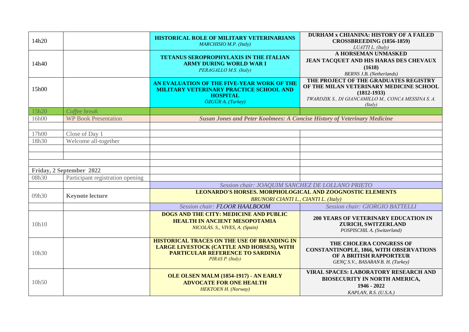| 14h20 |                                  | HISTORICAL ROLE OF MILITARY VETERINARIANS<br>MARCHISIO M.P. (Italy)                                                                                            | <b>DURHAM x CHIANINA: HISTORY OF A FAILED</b><br><b>CROSSBREEDING (1856-1859)</b><br>LUATTI L. (Italy)                                                                |
|-------|----------------------------------|----------------------------------------------------------------------------------------------------------------------------------------------------------------|-----------------------------------------------------------------------------------------------------------------------------------------------------------------------|
| 14h40 |                                  | <b>TETANUS SEROPROPHYLAXIS IN THE ITALIAN</b><br><b>ARMY DURING WORLD WAR I</b><br>PERAGALLO M.S. (Italy)                                                      | A HORSEMAN UNMASKED<br>JEAN TACQUET AND HIS HARAS DES CHEVAUX<br>(1618)<br><b>BERNS J.B.</b> (Netherlands)                                                            |
| 15h00 |                                  | AN EVALUATION OF THE FIVE-YEAR WORK OF THE<br><b>MILITARY VETERINARY PRACTICE SCHOOL AND</b><br><b>HOSPITAL</b><br>$\ddot{O}ZG\ddot{U}R$ A. (Turkey)           | THE PROJECT OF THE GRADUATES REGISTRY<br>OF THE MILAN VETERINARY MEDICINE SCHOOL<br>$(1812 - 1933)$<br>TWARDZIK S., DI GIANCAMILLO M., CONCA MESSINA S. A.<br>(Italy) |
| 15h20 | Coffee break                     |                                                                                                                                                                |                                                                                                                                                                       |
| 16h00 | <b>WP Book Presentation</b>      | <b>Susan Jones and Peter Koolmees: A Concise History of Veterinary Medicine</b>                                                                                |                                                                                                                                                                       |
|       |                                  |                                                                                                                                                                |                                                                                                                                                                       |
| 17h00 | Close of Day 1                   |                                                                                                                                                                |                                                                                                                                                                       |
| 18h30 | Welcome all-together             |                                                                                                                                                                |                                                                                                                                                                       |
|       |                                  |                                                                                                                                                                |                                                                                                                                                                       |
|       |                                  |                                                                                                                                                                |                                                                                                                                                                       |
|       | Friday, 2 September 2022         |                                                                                                                                                                |                                                                                                                                                                       |
| 08h30 | Participant registration opening |                                                                                                                                                                |                                                                                                                                                                       |
|       |                                  |                                                                                                                                                                |                                                                                                                                                                       |
|       |                                  | Session chair: JOAQUIM SANCHEZ DE LOLLANO PRIETO<br><b>LEONARDO'S HORSES. MORPHOLOGICAL AND ZOOGNOSTIC ELEMENTS</b>                                            |                                                                                                                                                                       |
| 09h30 | <b>Keynote lecture</b>           | <b>BRUNORI CIANTI L., CIANTI L. (Italy)</b>                                                                                                                    |                                                                                                                                                                       |
|       |                                  | Session chair: FLOOR HAALBOOM                                                                                                                                  | Session chair: GIORGIO BATTELLI                                                                                                                                       |
| 10h10 |                                  | <b>DOGS AND THE CITY: MEDICINE AND PUBLIC</b><br><b>HEALTH IN ANCIENT MESOPOTAMIA</b><br>NICOLÁS. S., VIVES, A. (Spain)                                        | <b>200 YEARS OF VETERINARY EDUCATION IN</b><br>ZURICH, SWITZERLAND<br>POSPISCHIL A. (Switzerland)                                                                     |
| 10h30 |                                  | <b>HISTORICAL TRACES ON THE USE OF BRANDING IN</b><br>LARGE LIVESTOCK (CATTLE AND HORSES), WITH<br><b>PARTICULAR REFERENCE TO SARDINIA</b><br>PIRAS P. (Italy) | THE CHOLERA CONGRESS OF<br><b>CONSTANTINOPLE, 1866, WITH OBSERVATIONS</b><br>OF A BRITISH RAPPORTEUR<br>GENÇ S.V., BASARAN B. H. (Turkey)                             |
| 10h50 |                                  | OLE OLSEN MALM (1854-1917) - AN EARLY<br><b>ADVOCATE FOR ONE HEALTH</b><br><b>HEKTOEN H. (Norway)</b>                                                          | <b>VIRAL SPACES: LABORATORY RESEARCH AND</b><br><b>BIOSECURITY IN NORTH AMERICA,</b><br>1946 - 2022<br>KAPLAN, R.S. (U.S.A.)                                          |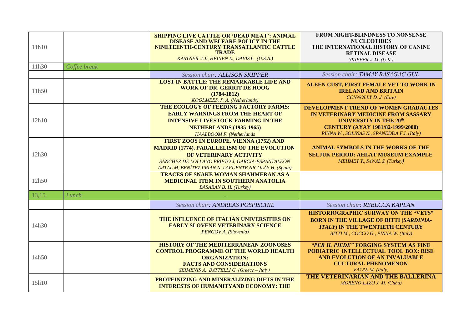| 11h10 |              | <b>SHIPPING LIVE CATTLE OR 'DEAD MEAT': ANIMAL</b><br>DISEASE AND WELFARE POLICY IN THE<br>NINETEENTH-CENTURY TRANSATLANTIC CATTLE<br><b>TRADE</b><br>KASTNER J.J., HEINEN L., DAVIS L. (U.S.A.)                                    | FROM NIGHT-BLINDNESS TO NONSENSE<br><b>NUCLEOTIDES</b><br>THE INTERNATIONAL HISTORY OF CANINE<br><b>RETINAL DISEASE</b><br>SKIPPER A.M. (U.K.)                                                         |
|-------|--------------|-------------------------------------------------------------------------------------------------------------------------------------------------------------------------------------------------------------------------------------|--------------------------------------------------------------------------------------------------------------------------------------------------------------------------------------------------------|
| 11h30 | Coffee break |                                                                                                                                                                                                                                     |                                                                                                                                                                                                        |
|       |              | Session chair: ALLISON SKIPPER                                                                                                                                                                                                      | Session chair: TAMAY BASAGAC GUL                                                                                                                                                                       |
| 11h50 |              | <b>LOST IN BATTLE: THE REMARKABLE LIFE AND</b><br><b>WORK OF DR. GERRIT DE HOOG</b><br>$(1784 - 1812)$<br>KOOLMEES, P. A. (Netherlands)                                                                                             | ALEEN CUST, FIRST FEMALE VET TO WORK IN<br><b>IRELAND AND BRITAIN</b><br>CONNOLLY D. J. (Eire)                                                                                                         |
| 12h10 |              | THE ECOLOGY OF FEEDING FACTORY FARMS:<br><b>EARLY WARNINGS FROM THE HEART OF</b><br><b>INTENSIVE LIVESTOCK FARMING IN THE</b><br><b>NETHERLANDS (1935-1965)</b><br>HAALBOOM F. (Netherlands                                         | DEVELOPMENT TREND OF WOMEN GRADAUTES<br>IN VETERINARY MEDICINE FROM SASSARY<br><b>UNIVERSITY IN THE 20th</b><br><b>CENTURY (AYAY 1981/82-1999/2000)</b><br>PINNA W., SOLINAS N., SPANEDDA F.I. (Italy) |
| 12h30 |              | FIRST ZOOS IN EUROPE, VIENNA (1752) AND<br><b>MADRID (1774). PARALLELISM OF THE EVOLUTION</b><br>OF VETERINARY ACTIVITY<br>SÁNCHEZ DE LOLLANO PRIETO J, GARCÍA-ESPANTALEÓN<br>ARTAL M, BENÍTEZ PRIAN N, LAFUENTE NICOLÁS H. (Spain) | <b>ANIMAL SYMBOLS IN THE WORKS OF THE</b><br><b>SELJUK PERIOD: AHLAT MUSEUM EXAMPLE</b><br>MEHMET Y., SANAL Ş. (Turkey)                                                                                |
| 12h50 |              | <b>TRACES OF SNAKE WOMAN SHAHMERAN AS A</b><br><b>MEDICINAL ITEM IN SOUTHERN ANATOLIA</b><br><b>BASARAN B. H. (Turkey)</b>                                                                                                          |                                                                                                                                                                                                        |
| 13,15 | Lunch        |                                                                                                                                                                                                                                     |                                                                                                                                                                                                        |
|       |              | Session chair: ANDREAS POSPISCHIL                                                                                                                                                                                                   | Session chair: REBECCA KAPLAN.                                                                                                                                                                         |
| 14h30 |              | THE INFLUENCE OF ITALIAN UNIVERSITIES ON<br><b>EARLY SLOVENE VETERINARY SCIENCE</b><br>PENGOV A. (Slovenia)                                                                                                                         | <b>HISTORIOGRAPHIC SURWAY ON THE "VETS"</b><br><b>BORN IN THE VILLAGE OF BITTI (SARDINIA-</b><br><b>ITALY) IN THE TWENTIETH CENTURY</b><br>BITTI M., COCCO G., PINNA W. (Italy)                        |
| 14h50 |              | <b>HISTORY OF THE MEDITERRANEAN ZOONOSES</b><br><b>CONTROL PROGRAMME OF THE WORLD HEALTH</b><br><b>ORGANIZATION:</b><br><b>FACTS AND CONSIDERATIONS</b><br>SEIMENIS A., BATTELLI G. (Greece - Italy)                                | "PER IL PIEDE" FORGING SYSTEM AS FINE<br>PODIATRIC INTELLECTUAL TOOL BOX: RISE<br>AND EVOLUTION OF AN INVALUABLE<br><b>CULTURAL PHENOMENON</b><br>FAVRE M. (Italy)                                     |
| 15h10 |              | PROTEINIZING AND MINERALIZING DIETS IN THE<br><b>INTERESTS OF HUMANITYAND ECONOMY: THE</b>                                                                                                                                          | THE VETERINARIAN AND THE BALLERINA<br>MORENO LAZO J. M. (Cuba)                                                                                                                                         |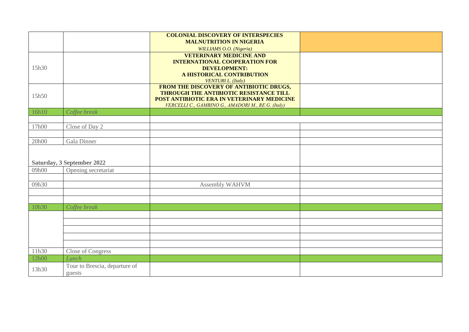|       |                                         | <b>COLONIAL DISCOVERY OF INTERSPECIES</b>                                                                                                                                             |  |
|-------|-----------------------------------------|---------------------------------------------------------------------------------------------------------------------------------------------------------------------------------------|--|
|       |                                         | <b>MALNUTRITION IN NIGERIA</b><br>WILLIAMS O.O. (Nigeria)                                                                                                                             |  |
| 15h30 |                                         | <b>VETERINARY MEDICINE AND</b><br><b>INTERNATIONAL COOPERATION FOR</b><br><b>DEVELOPMENT:</b><br>A HISTORICAL CONTRIBUTION<br><b>VENTURI L. (Italy)</b>                               |  |
| 15h50 |                                         | FROM THE DISCOVERY OF ANTIBIOTIC DRUGS,<br>THROUGH THE ANTIBIOTIC RESISTANCE TILL<br>POST ANTIBIOTIC ERA IN VETERINARY MEDICINE<br>VERCELLI C., GAMBINO G., AMADORI M., RE G. (Italy) |  |
| 16h10 | Coffee break                            |                                                                                                                                                                                       |  |
|       |                                         |                                                                                                                                                                                       |  |
| 17h00 | Close of Day 2                          |                                                                                                                                                                                       |  |
| 20h00 | Gala Dinner                             |                                                                                                                                                                                       |  |
|       |                                         |                                                                                                                                                                                       |  |
|       | Saturday, 3 September 2022              |                                                                                                                                                                                       |  |
| 09h00 | Opening secretariat                     |                                                                                                                                                                                       |  |
| 09h30 |                                         | Assembly WAHVM                                                                                                                                                                        |  |
|       |                                         |                                                                                                                                                                                       |  |
|       |                                         |                                                                                                                                                                                       |  |
| 10h30 | Coffee break                            |                                                                                                                                                                                       |  |
|       |                                         |                                                                                                                                                                                       |  |
|       |                                         |                                                                                                                                                                                       |  |
|       |                                         |                                                                                                                                                                                       |  |
|       |                                         |                                                                                                                                                                                       |  |
| 11h30 | Close of Congress                       |                                                                                                                                                                                       |  |
| 12h00 | Lunch                                   |                                                                                                                                                                                       |  |
| 13h30 | Tour to Brescia, departure of<br>guests |                                                                                                                                                                                       |  |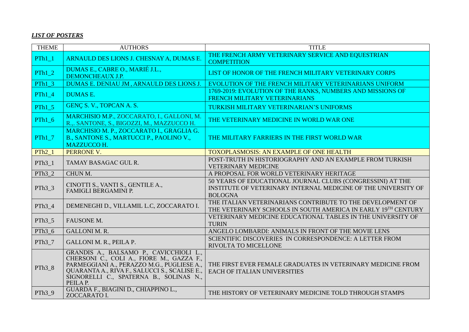## *LIST OF POSTERS*

| <b>THEME</b>       | <b>AUTHORS</b>                                                                                                                                                                                                                             | <b>TITLE</b>                                                                                                                                   |
|--------------------|--------------------------------------------------------------------------------------------------------------------------------------------------------------------------------------------------------------------------------------------|------------------------------------------------------------------------------------------------------------------------------------------------|
| $PTh1_1$           | ARNAULD DES LIONS J. CHESNAY A, DUMAS E.                                                                                                                                                                                                   | THE FRENCH ARMY VETERINARY SERVICE AND EQUESTRIAN<br><b>COMPETITION</b>                                                                        |
| $PTh1_2$           | DUMAS E., CABRE O., MARIÉ J.L.,<br>DEMONCHEAUX J.P.                                                                                                                                                                                        | LIST OF HONOR OF THE FRENCH MILITARY VETERINARY CORPS                                                                                          |
| $PTh1_3$           | DUMAS E. DENIAU JM, ARNAULD DES LIONS J.                                                                                                                                                                                                   | EVOLUTION OF THE FRENCH MILITARY VETERINARIANS UNIFORM                                                                                         |
| $PTh1_4$           | <b>DUMAS E.</b>                                                                                                                                                                                                                            | 1769-2019: EVOLUTION OF THE RANKS, NUMBERS AND MISSIONS OF<br>FRENCH MILITARY VETERINARIANS                                                    |
| PTh $15$           | GENÇ S. V., TOPCAN A. S.                                                                                                                                                                                                                   | TURKISH MILITARY VETERINARIAN'S UNIFORMS                                                                                                       |
| $PTh1_6$           | MARCHISIO M.P., ZOCCARATO, I., GALLONI, M.<br>R.,. SANTONE, S., BIGOZZI, M., MAZZUCCO H.                                                                                                                                                   | THE VETERINARY MEDICINE IN WORLD WAR ONE                                                                                                       |
| $PTh1_7$           | MARCHISIO M. P., ZOCCARATO I., GRAGLIA G.<br>B., SANTONE S., MARTUCCI P., PAOLINO V.,<br><b>MAZZUCCO H.</b>                                                                                                                                | THE MILITARY FARRIERS IN THE FIRST WORLD WAR                                                                                                   |
| $PTh2_1$           | PERRONE V.                                                                                                                                                                                                                                 | <b>TOXOPLASMOSIS: AN EXAMPLE OF ONE HEALTH</b>                                                                                                 |
| PTh <sub>3</sub> 1 | TAMAY BASAGAC GUL R.                                                                                                                                                                                                                       | POST-TRUTH IN HISTORIOGRAPHY AND AN EXAMPLE FROM TURKISH<br><b>VETERINARY MEDICINE</b>                                                         |
| $PTh3_2$           | CHUN M.                                                                                                                                                                                                                                    | A PROPOSAL FOR WORLD VETERINARY HERITAGE                                                                                                       |
| $PTh3_3$           | CINOTTI S., VANTI S., GENTILE A.,<br>FAMIGLI BERGAMINI P.                                                                                                                                                                                  | 50 YEARS OF EDUCATIONAL JOURNAL CLUBS (CONGRESSINI) AT THE<br>INSTITUTE OF VETERINARY INTERNAL MEDICINE OF THE UNIVERSITY OF<br><b>BOLOGNA</b> |
| PTh <sub>3</sub> 4 | DEMENEGHI D., VILLAMIL L.C, ZOCCARATO I.                                                                                                                                                                                                   | THE ITALIAN VETERINARIANS CONTRIBUTE TO THE DEVELOPMENT OF<br>THE VETERINARY SCHOOLS IN SOUTH AMERICA IN EARLY 19TH CENTURY                    |
| $PTh3_5$           | FAUSONE M.                                                                                                                                                                                                                                 | VETERINARY MEDICINE EDUCATIONAL TABLES IN THE UNIVERSITY OF<br><b>TURIN</b>                                                                    |
| PTh <sub>3</sub> 6 | <b>GALLONI M. R.</b>                                                                                                                                                                                                                       | ANGELO LOMBARDI: ANIMALS IN FRONT OF THE MOVIE LENS                                                                                            |
| PTh <sub>3</sub> 7 | <b>GALLONI M. R., PEILA P.</b>                                                                                                                                                                                                             | SCIENTIFIC DISCOVERIES IN CORRESPONDENCE: A LETTER FROM<br>RIVOLTA TO MICELLONE                                                                |
| PTh <sub>3</sub> 8 | GRANDIS A., BALSAMO P., CAVICCHIOLI L.,<br>CHERSONI C., COLI A., FIORE M., GAZZA F.,<br>PARMEGGIANI A., PERAZZO M.G., PUGLIESE A.,<br>QUARANTA A., RIVA F., SALUCCI S., SCALISE E.,<br>SIGNORELLI C., SPATERNA B., SOLINAS N.,<br>PEILA P. | THE FIRST EVER FEMALE GRADUATES IN VETERINARY MEDICINE FROM<br><b>EACH OF ITALIAN UNIVERSITIES</b>                                             |
| $PTh3_9$           | GUARDA F., BIAGINI D., CHIAPPINO L.,<br>ZOCCARATO I.                                                                                                                                                                                       | THE HISTORY OF VETERINARY MEDICINE TOLD THROUGH STAMPS                                                                                         |